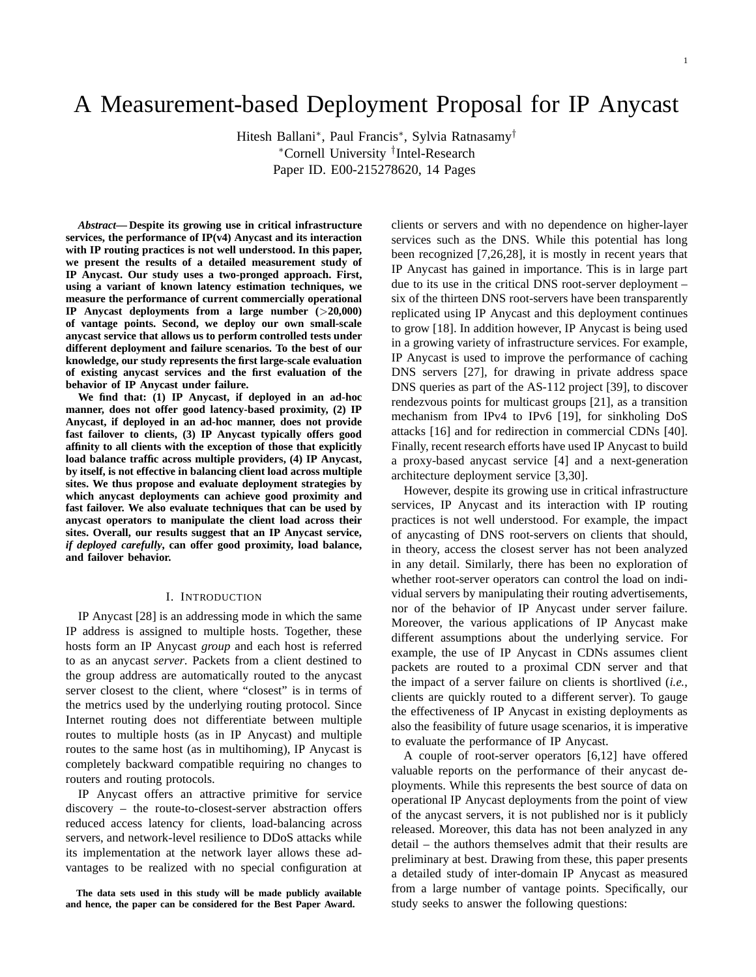# A Measurement-based Deployment Proposal for IP Anycast

Hitesh Ballani<sup>∗</sup> , Paul Francis<sup>∗</sup> , Sylvia Ratnasamy† <sup>∗</sup>Cornell University † Intel-Research Paper ID. E00-215278620, 14 Pages

*Abstract***— Despite its growing use in critical infrastructure services, the performance of IP(v4) Anycast and its interaction with IP routing practices is not well understood. In this paper, we present the results of a detailed measurement study of IP Anycast. Our study uses a two-pronged approach. First, using a variant of known latency estimation techniques, we measure the performance of current commercially operational IP Anycast deployments from a large number (**>**20,000) of vantage points. Second, we deploy our own small-scale anycast service that allows us to perform controlled tests under different deployment and failure scenarios. To the best of our knowledge, our study represents the first large-scale evaluation of existing anycast services and the first evaluation of the behavior of IP Anycast under failure.**

**We find that: (1) IP Anycast, if deployed in an ad-hoc manner, does not offer good latency-based proximity, (2) IP Anycast, if deployed in an ad-hoc manner, does not provide fast failover to clients, (3) IP Anycast typically offers good affinity to all clients with the exception of those that explicitly load balance traffic across multiple providers, (4) IP Anycast, by itself, is not effective in balancing client load across multiple sites. We thus propose and evaluate deployment strategies by which anycast deployments can achieve good proximity and fast failover. We also evaluate techniques that can be used by anycast operators to manipulate the client load across their sites. Overall, our results suggest that an IP Anycast service,** *if deployed carefully***, can offer good proximity, load balance, and failover behavior.**

## I. INTRODUCTION

IP Anycast [28] is an addressing mode in which the same IP address is assigned to multiple hosts. Together, these hosts form an IP Anycast *group* and each host is referred to as an anycast *server*. Packets from a client destined to the group address are automatically routed to the anycast server closest to the client, where "closest" is in terms of the metrics used by the underlying routing protocol. Since Internet routing does not differentiate between multiple routes to multiple hosts (as in IP Anycast) and multiple routes to the same host (as in multihoming), IP Anycast is completely backward compatible requiring no changes to routers and routing protocols.

IP Anycast offers an attractive primitive for service discovery – the route-to-closest-server abstraction offers reduced access latency for clients, load-balancing across servers, and network-level resilience to DDoS attacks while its implementation at the network layer allows these advantages to be realized with no special configuration at

**The data sets used in this study will be made publicly available and hence, the paper can be considered for the Best Paper Award.**

clients or servers and with no dependence on higher-layer services such as the DNS. While this potential has long been recognized [7,26,28], it is mostly in recent years that IP Anycast has gained in importance. This is in large part due to its use in the critical DNS root-server deployment – six of the thirteen DNS root-servers have been transparently replicated using IP Anycast and this deployment continues to grow [18]. In addition however, IP Anycast is being used in a growing variety of infrastructure services. For example, IP Anycast is used to improve the performance of caching DNS servers [27], for drawing in private address space DNS queries as part of the AS-112 project [39], to discover rendezvous points for multicast groups [21], as a transition mechanism from IPv4 to IPv6 [19], for sinkholing DoS attacks [16] and for redirection in commercial CDNs [40]. Finally, recent research efforts have used IP Anycast to build a proxy-based anycast service [4] and a next-generation architecture deployment service [3,30].

However, despite its growing use in critical infrastructure services, IP Anycast and its interaction with IP routing practices is not well understood. For example, the impact of anycasting of DNS root-servers on clients that should, in theory, access the closest server has not been analyzed in any detail. Similarly, there has been no exploration of whether root-server operators can control the load on individual servers by manipulating their routing advertisements, nor of the behavior of IP Anycast under server failure. Moreover, the various applications of IP Anycast make different assumptions about the underlying service. For example, the use of IP Anycast in CDNs assumes client packets are routed to a proximal CDN server and that the impact of a server failure on clients is shortlived (*i.e.*, clients are quickly routed to a different server). To gauge the effectiveness of IP Anycast in existing deployments as also the feasibility of future usage scenarios, it is imperative to evaluate the performance of IP Anycast.

A couple of root-server operators [6,12] have offered valuable reports on the performance of their anycast deployments. While this represents the best source of data on operational IP Anycast deployments from the point of view of the anycast servers, it is not published nor is it publicly released. Moreover, this data has not been analyzed in any detail – the authors themselves admit that their results are preliminary at best. Drawing from these, this paper presents a detailed study of inter-domain IP Anycast as measured from a large number of vantage points. Specifically, our study seeks to answer the following questions: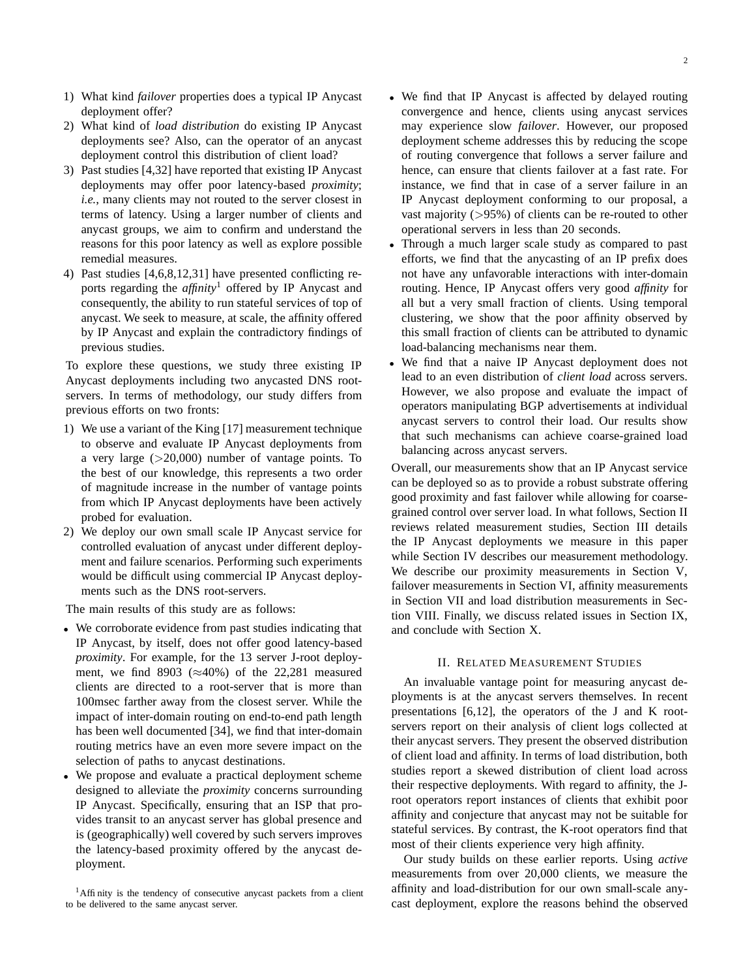- 1) What kind *failover* properties does a typical IP Anycast deployment offer?
- 2) What kind of *load distribution* do existing IP Anycast deployments see? Also, can the operator of an anycast deployment control this distribution of client load?
- 3) Past studies [4,32] have reported that existing IP Anycast deployments may offer poor latency-based *proximity*; *i.e.*, many clients may not routed to the server closest in terms of latency. Using a larger number of clients and anycast groups, we aim to confirm and understand the reasons for this poor latency as well as explore possible remedial measures.
- 4) Past studies [4,6,8,12,31] have presented conflicting reports regarding the *affinity*<sup>1</sup> offered by IP Anycast and consequently, the ability to run stateful services of top of anycast. We seek to measure, at scale, the affinity offered by IP Anycast and explain the contradictory findings of previous studies.

To explore these questions, we study three existing IP Anycast deployments including two anycasted DNS rootservers. In terms of methodology, our study differs from previous efforts on two fronts:

- 1) We use a variant of the King [17] measurement technique to observe and evaluate IP Anycast deployments from a very large (>20,000) number of vantage points. To the best of our knowledge, this represents a two order of magnitude increase in the number of vantage points from which IP Anycast deployments have been actively probed for evaluation.
- 2) We deploy our own small scale IP Anycast service for controlled evaluation of anycast under different deployment and failure scenarios. Performing such experiments would be difficult using commercial IP Anycast deployments such as the DNS root-servers.

The main results of this study are as follows:

- We corroborate evidence from past studies indicating that IP Anycast, by itself, does not offer good latency-based *proximity*. For example, for the 13 server J-root deployment, we find 8903 ( $\approx$ 40%) of the 22,281 measured clients are directed to a root-server that is more than 100msec farther away from the closest server. While the impact of inter-domain routing on end-to-end path length has been well documented [34], we find that inter-domain routing metrics have an even more severe impact on the selection of paths to anycast destinations.
- We propose and evaluate a practical deployment scheme designed to alleviate the *proximity* concerns surrounding IP Anycast. Specifically, ensuring that an ISP that provides transit to an anycast server has global presence and is (geographically) well covered by such servers improves the latency-based proximity offered by the anycast deployment.
- We find that IP Anycast is affected by delayed routing convergence and hence, clients using anycast services may experience slow *failover*. However, our proposed deployment scheme addresses this by reducing the scope of routing convergence that follows a server failure and hence, can ensure that clients failover at a fast rate. For instance, we find that in case of a server failure in an IP Anycast deployment conforming to our proposal, a vast majority (>95%) of clients can be re-routed to other operational servers in less than 20 seconds.
- Through a much larger scale study as compared to past efforts, we find that the anycasting of an IP prefix does not have any unfavorable interactions with inter-domain routing. Hence, IP Anycast offers very good *affinity* for all but a very small fraction of clients. Using temporal clustering, we show that the poor affinity observed by this small fraction of clients can be attributed to dynamic load-balancing mechanisms near them.
- We find that a naive IP Anycast deployment does not lead to an even distribution of *client load* across servers. However, we also propose and evaluate the impact of operators manipulating BGP advertisements at individual anycast servers to control their load. Our results show that such mechanisms can achieve coarse-grained load balancing across anycast servers.

Overall, our measurements show that an IP Anycast service can be deployed so as to provide a robust substrate offering good proximity and fast failover while allowing for coarsegrained control over server load. In what follows, Section II reviews related measurement studies, Section III details the IP Anycast deployments we measure in this paper while Section IV describes our measurement methodology. We describe our proximity measurements in Section V, failover measurements in Section VI, affinity measurements in Section VII and load distribution measurements in Section VIII. Finally, we discuss related issues in Section IX, and conclude with Section X.

## II. RELATED MEASUREMENT STUDIES

An invaluable vantage point for measuring anycast deployments is at the anycast servers themselves. In recent presentations [6,12], the operators of the J and K rootservers report on their analysis of client logs collected at their anycast servers. They present the observed distribution of client load and affinity. In terms of load distribution, both studies report a skewed distribution of client load across their respective deployments. With regard to affinity, the Jroot operators report instances of clients that exhibit poor affinity and conjecture that anycast may not be suitable for stateful services. By contrast, the K-root operators find that most of their clients experience very high affinity.

Our study builds on these earlier reports. Using *active* measurements from over 20,000 clients, we measure the affinity and load-distribution for our own small-scale anycast deployment, explore the reasons behind the observed

<sup>&</sup>lt;sup>1</sup>Affinity is the tendency of consecutive anycast packets from a client to be delivered to the same anycast server.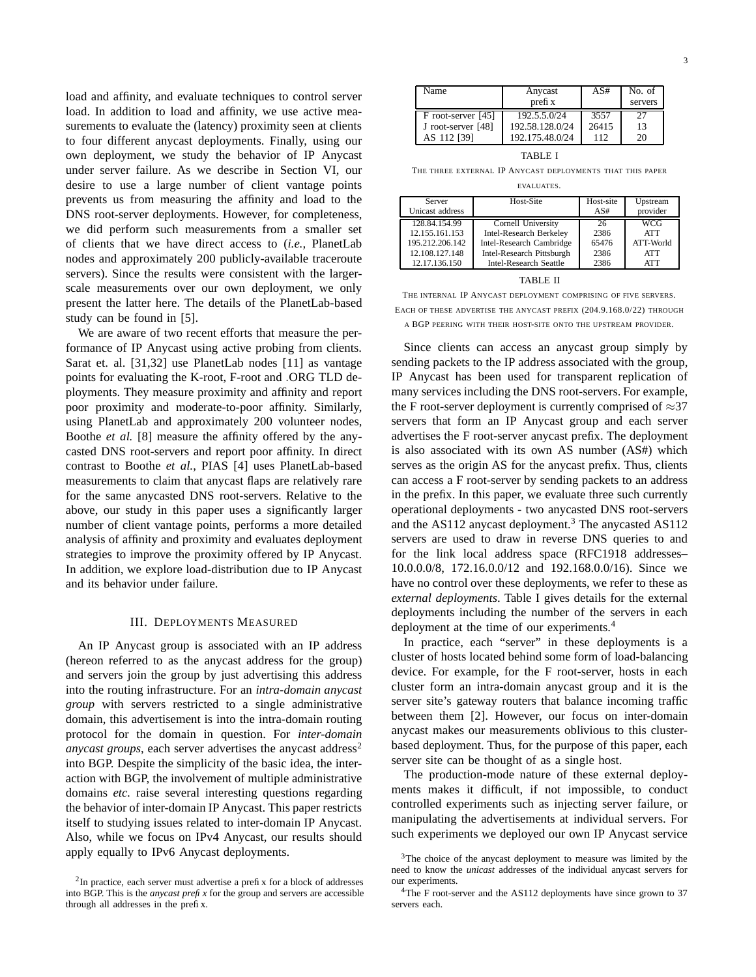load and affinity, and evaluate techniques to control server load. In addition to load and affinity, we use active measurements to evaluate the (latency) proximity seen at clients to four different anycast deployments. Finally, using our own deployment, we study the behavior of IP Anycast under server failure. As we describe in Section VI, our desire to use a large number of client vantage points prevents us from measuring the affinity and load to the DNS root-server deployments. However, for completeness, we did perform such measurements from a smaller set of clients that we have direct access to (*i.e.,* PlanetLab nodes and approximately 200 publicly-available traceroute servers). Since the results were consistent with the largerscale measurements over our own deployment, we only present the latter here. The details of the PlanetLab-based study can be found in [5].

We are aware of two recent efforts that measure the performance of IP Anycast using active probing from clients. Sarat et. al. [31,32] use PlanetLab nodes [11] as vantage points for evaluating the K-root, F-root and .ORG TLD deployments. They measure proximity and affinity and report poor proximity and moderate-to-poor affinity. Similarly, using PlanetLab and approximately 200 volunteer nodes, Boothe *et al.* [8] measure the affinity offered by the anycasted DNS root-servers and report poor affinity. In direct contrast to Boothe *et al.*, PIAS [4] uses PlanetLab-based measurements to claim that anycast flaps are relatively rare for the same anycasted DNS root-servers. Relative to the above, our study in this paper uses a significantly larger number of client vantage points, performs a more detailed analysis of affinity and proximity and evaluates deployment strategies to improve the proximity offered by IP Anycast. In addition, we explore load-distribution due to IP Anycast and its behavior under failure.

#### III. DEPLOYMENTS MEASURED

An IP Anycast group is associated with an IP address (hereon referred to as the anycast address for the group) and servers join the group by just advertising this address into the routing infrastructure. For an *intra-domain anycast group* with servers restricted to a single administrative domain, this advertisement is into the intra-domain routing protocol for the domain in question. For *inter-domain anycast groups*, each server advertises the anycast address<sup>2</sup> into BGP. Despite the simplicity of the basic idea, the interaction with BGP, the involvement of multiple administrative domains *etc.* raise several interesting questions regarding the behavior of inter-domain IP Anycast. This paper restricts itself to studying issues related to inter-domain IP Anycast. Also, while we focus on IPv4 Anycast, our results should apply equally to IPv6 Anycast deployments.

| Name               | Anycast<br>prefi x | AS#   | No. of<br>servers |
|--------------------|--------------------|-------|-------------------|
| F root-server [45] | 192.5.5.0/24       | 3557  | 27                |
| J root-server [48] | 192.58.128.0/24    | 26415 | 13                |
| AS 112 [39]        | 192.175.48.0/24    | 112   | 20                |

TABLE I

THE THREE EXTERNAL IP ANYCAST DEPLOYMENTS THAT THIS PAPER **EVALUATES** 

| Server          | Host-Site                        | Host-site | Upstream   |
|-----------------|----------------------------------|-----------|------------|
| Unicast address |                                  | AS#       | provider   |
| 128.84.154.99   | Cornell University               | 26        | <b>WCG</b> |
| 12.155.161.153  | <b>Intel-Research Berkeley</b>   | 2386      | <b>ATT</b> |
| 195.212.206.142 | Intel-Research Cambridge         | 65476     | ATT-World  |
| 12.108.127.148  | <b>Intel-Research Pittsburgh</b> | 2386      | <b>ATT</b> |
| 12.17.136.150   | Intel-Research Seattle           | 2386      | <b>ATT</b> |
|                 |                                  |           |            |

TABLE II

THE INTERNAL IP ANYCAST DEPLOYMENT COMPRISING OF FIVE SERVERS. EACH OF THESE ADVERTISE THE ANYCAST PREFIX (204.9.168.0/22) THROUGH

A BGP PEERING WITH THEIR HOST-SITE ONTO THE UPSTREAM PROVIDER.

Since clients can access an anycast group simply by sending packets to the IP address associated with the group, IP Anycast has been used for transparent replication of many services including the DNS root-servers. For example, the F root-server deployment is currently comprised of  $\approx 37$ servers that form an IP Anycast group and each server advertises the F root-server anycast prefix. The deployment is also associated with its own AS number (AS#) which serves as the origin AS for the anycast prefix. Thus, clients can access a F root-server by sending packets to an address in the prefix. In this paper, we evaluate three such currently operational deployments - two anycasted DNS root-servers and the AS112 anycast deployment.<sup>3</sup> The anycasted AS112 servers are used to draw in reverse DNS queries to and for the link local address space (RFC1918 addresses– 10.0.0.0/8, 172.16.0.0/12 and 192.168.0.0/16). Since we have no control over these deployments, we refer to these as *external deployments*. Table I gives details for the external deployments including the number of the servers in each deployment at the time of our experiments.<sup>4</sup>

In practice, each "server" in these deployments is a cluster of hosts located behind some form of load-balancing device. For example, for the F root-server, hosts in each cluster form an intra-domain anycast group and it is the server site's gateway routers that balance incoming traffic between them [2]. However, our focus on inter-domain anycast makes our measurements oblivious to this clusterbased deployment. Thus, for the purpose of this paper, each server site can be thought of as a single host.

The production-mode nature of these external deployments makes it difficult, if not impossible, to conduct controlled experiments such as injecting server failure, or manipulating the advertisements at individual servers. For such experiments we deployed our own IP Anycast service

<sup>&</sup>lt;sup>2</sup>In practice, each server must advertise a prefix for a block of addresses into BGP. This is the *anycast prefix* for the group and servers are accessible through all addresses in the prefix.

<sup>&</sup>lt;sup>3</sup>The choice of the anycast deployment to measure was limited by the need to know the *unicast* addresses of the individual anycast servers for our experiments.

<sup>&</sup>lt;sup>4</sup>The F root-server and the AS112 deployments have since grown to 37 servers each.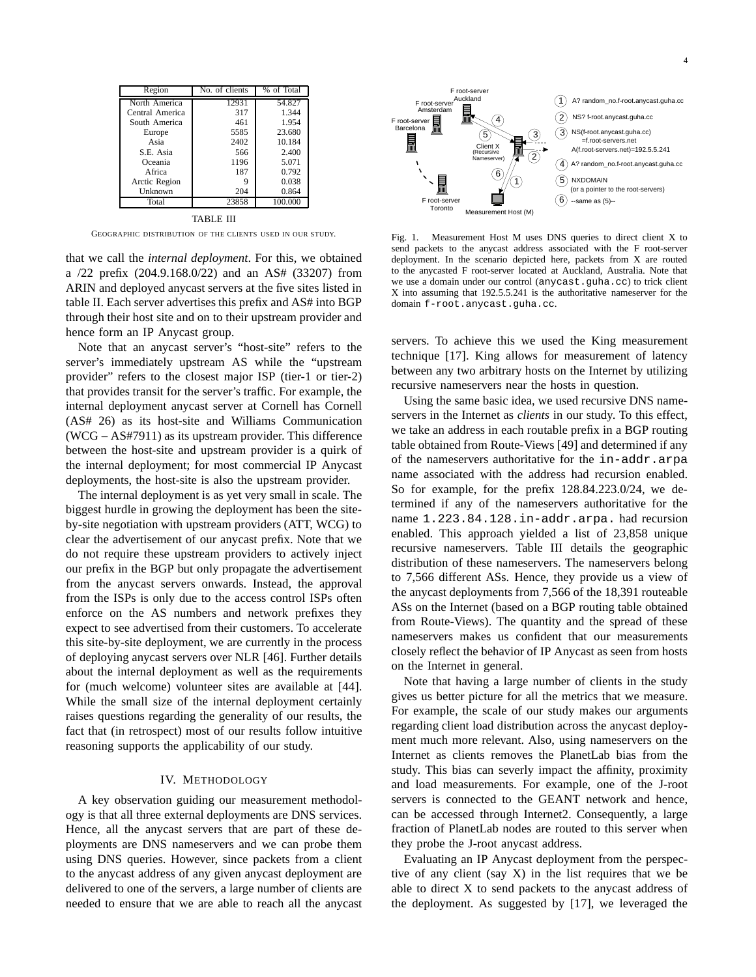| Region          | No. of clients | % of Total |  |  |
|-----------------|----------------|------------|--|--|
| North America   | 12931          | 54.827     |  |  |
| Central America | 317            | 1.344      |  |  |
| South America   | 461            | 1.954      |  |  |
| Europe          | 5585           | 23.680     |  |  |
| Asia            | 2402           | 10.184     |  |  |
| S.E. Asia       | 566            | 2.400      |  |  |
| Oceania         | 1196           | 5.071      |  |  |
| Africa          | 187            | 0.792      |  |  |
| Arctic Region   |                | 0.038      |  |  |
| Unknown         | 204            | 0.864      |  |  |
| Total           | 23858          | 100.000    |  |  |
| TABLE III       |                |            |  |  |

GEOGRAPHIC DISTRIBUTION OF THE CLIENTS USED IN OUR STUDY.

that we call the *internal deployment*. For this, we obtained a /22 prefix (204.9.168.0/22) and an AS# (33207) from ARIN and deployed anycast servers at the five sites listed in table II. Each server advertises this prefix and AS# into BGP through their host site and on to their upstream provider and hence form an IP Anycast group.

Note that an anycast server's "host-site" refers to the server's immediately upstream AS while the "upstream provider" refers to the closest major ISP (tier-1 or tier-2) that provides transit for the server's traffic. For example, the internal deployment anycast server at Cornell has Cornell (AS# 26) as its host-site and Williams Communication (WCG – AS#7911) as its upstream provider. This difference between the host-site and upstream provider is a quirk of the internal deployment; for most commercial IP Anycast deployments, the host-site is also the upstream provider.

The internal deployment is as yet very small in scale. The biggest hurdle in growing the deployment has been the siteby-site negotiation with upstream providers (ATT, WCG) to clear the advertisement of our anycast prefix. Note that we do not require these upstream providers to actively inject our prefix in the BGP but only propagate the advertisement from the anycast servers onwards. Instead, the approval from the ISPs is only due to the access control ISPs often enforce on the AS numbers and network prefixes they expect to see advertised from their customers. To accelerate this site-by-site deployment, we are currently in the process of deploying anycast servers over NLR [46]. Further details about the internal deployment as well as the requirements for (much welcome) volunteer sites are available at [44]. While the small size of the internal deployment certainly raises questions regarding the generality of our results, the fact that (in retrospect) most of our results follow intuitive reasoning supports the applicability of our study.

## IV. METHODOLOGY

A key observation guiding our measurement methodology is that all three external deployments are DNS services. Hence, all the anycast servers that are part of these deployments are DNS nameservers and we can probe them using DNS queries. However, since packets from a client to the anycast address of any given anycast deployment are delivered to one of the servers, a large number of clients are needed to ensure that we are able to reach all the anycast



Fig. 1. Measurement Host M uses DNS queries to direct client X to send packets to the anycast address associated with the F root-server deployment. In the scenario depicted here, packets from X are routed to the anycasted F root-server located at Auckland, Australia. Note that we use a domain under our control (anycast.guha.cc) to trick client X into assuming that 192.5.5.241 is the authoritative nameserver for the domain f-root.anycast.guha.cc.

servers. To achieve this we used the King measurement technique [17]. King allows for measurement of latency between any two arbitrary hosts on the Internet by utilizing recursive nameservers near the hosts in question.

Using the same basic idea, we used recursive DNS nameservers in the Internet as *clients* in our study. To this effect, we take an address in each routable prefix in a BGP routing table obtained from Route-Views [49] and determined if any of the nameservers authoritative for the in-addr.arpa name associated with the address had recursion enabled. So for example, for the prefix 128.84.223.0/24, we determined if any of the nameservers authoritative for the name 1.223.84.128.in-addr.arpa. had recursion enabled. This approach yielded a list of 23,858 unique recursive nameservers. Table III details the geographic distribution of these nameservers. The nameservers belong to 7,566 different ASs. Hence, they provide us a view of the anycast deployments from 7,566 of the 18,391 routeable ASs on the Internet (based on a BGP routing table obtained from Route-Views). The quantity and the spread of these nameservers makes us confident that our measurements closely reflect the behavior of IP Anycast as seen from hosts on the Internet in general.

Note that having a large number of clients in the study gives us better picture for all the metrics that we measure. For example, the scale of our study makes our arguments regarding client load distribution across the anycast deployment much more relevant. Also, using nameservers on the Internet as clients removes the PlanetLab bias from the study. This bias can severly impact the affinity, proximity and load measurements. For example, one of the J-root servers is connected to the GEANT network and hence, can be accessed through Internet2. Consequently, a large fraction of PlanetLab nodes are routed to this server when they probe the J-root anycast address.

Evaluating an IP Anycast deployment from the perspective of any client (say X) in the list requires that we be able to direct X to send packets to the anycast address of the deployment. As suggested by [17], we leveraged the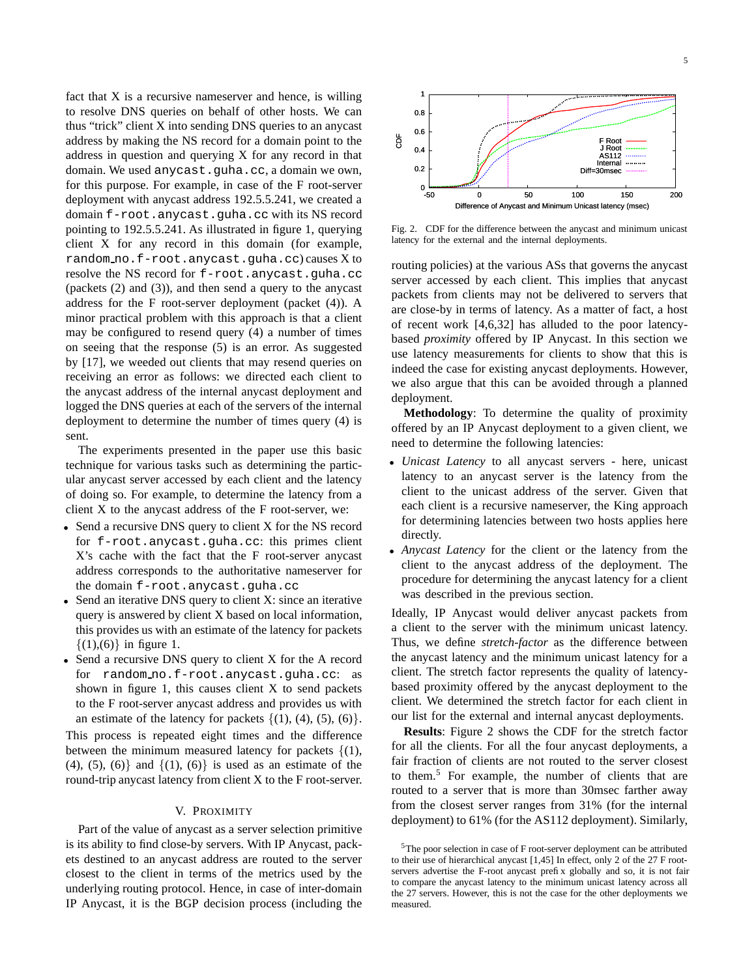fact that X is a recursive nameserver and hence, is willing to resolve DNS queries on behalf of other hosts. We can thus "trick" client X into sending DNS queries to an anycast address by making the NS record for a domain point to the address in question and querying X for any record in that domain. We used anycast.guha.cc, a domain we own, for this purpose. For example, in case of the F root-server deployment with anycast address 192.5.5.241, we created a domain f-root.anycast.guha.cc with its NS record pointing to 192.5.5.241. As illustrated in figure 1, querying client X for any record in this domain (for example, random no.f-root.anycast.guha.cc) causes X to resolve the NS record for f-root.anycast.guha.cc (packets (2) and (3)), and then send a query to the anycast address for the F root-server deployment (packet (4)). A minor practical problem with this approach is that a client may be configured to resend query (4) a number of times on seeing that the response (5) is an error. As suggested by [17], we weeded out clients that may resend queries on receiving an error as follows: we directed each client to the anycast address of the internal anycast deployment and logged the DNS queries at each of the servers of the internal deployment to determine the number of times query (4) is sent.

The experiments presented in the paper use this basic technique for various tasks such as determining the particular anycast server accessed by each client and the latency of doing so. For example, to determine the latency from a client X to the anycast address of the F root-server, we:

- Send a recursive DNS query to client X for the NS record for f-root.anycast.guha.cc: this primes client X's cache with the fact that the F root-server anycast address corresponds to the authoritative nameserver for the domain f-root.anycast.guha.cc
- Send an iterative DNS query to client X: since an iterative query is answered by client X based on local information, this provides us with an estimate of the latency for packets  $\{(1),(6)\}\)$  in figure 1.
- Send a recursive DNS query to client X for the A record for random no.f-root.anycast.guha.cc: as shown in figure 1, this causes client X to send packets to the F root-server anycast address and provides us with an estimate of the latency for packets  $\{(1), (4), (5), (6)\}.$

This process is repeated eight times and the difference between the minimum measured latency for packets  $\{(1),\}$ (4), (5), (6) and  $\{(1), (6)\}$  is used as an estimate of the round-trip anycast latency from client X to the F root-server.

## V. PROXIMITY

Part of the value of anycast as a server selection primitive is its ability to find close-by servers. With IP Anycast, packets destined to an anycast address are routed to the server closest to the client in terms of the metrics used by the underlying routing protocol. Hence, in case of inter-domain IP Anycast, it is the BGP decision process (including the



Fig. 2. CDF for the difference between the anycast and minimum unicast latency for the external and the internal deployments.

routing policies) at the various ASs that governs the anycast server accessed by each client. This implies that anycast packets from clients may not be delivered to servers that are close-by in terms of latency. As a matter of fact, a host of recent work [4,6,32] has alluded to the poor latencybased *proximity* offered by IP Anycast. In this section we use latency measurements for clients to show that this is indeed the case for existing anycast deployments. However, we also argue that this can be avoided through a planned deployment.

**Methodology**: To determine the quality of proximity offered by an IP Anycast deployment to a given client, we need to determine the following latencies:

- *Unicast Latency* to all anycast servers here, unicast latency to an anycast server is the latency from the client to the unicast address of the server. Given that each client is a recursive nameserver, the King approach for determining latencies between two hosts applies here directly.
- *Anycast Latency* for the client or the latency from the client to the anycast address of the deployment. The procedure for determining the anycast latency for a client was described in the previous section.

Ideally, IP Anycast would deliver anycast packets from a client to the server with the minimum unicast latency. Thus, we define *stretch-factor* as the difference between the anycast latency and the minimum unicast latency for a client. The stretch factor represents the quality of latencybased proximity offered by the anycast deployment to the client. We determined the stretch factor for each client in our list for the external and internal anycast deployments.

**Results**: Figure 2 shows the CDF for the stretch factor for all the clients. For all the four anycast deployments, a fair fraction of clients are not routed to the server closest to them.<sup>5</sup> For example, the number of clients that are routed to a server that is more than 30msec farther away from the closest server ranges from 31% (for the internal deployment) to 61% (for the AS112 deployment). Similarly,

<sup>5</sup>The poor selection in case of F root-server deployment can be attributed to their use of hierarchical anycast [1,45] In effect, only 2 of the 27 F rootservers advertise the F-root anycast prefix globally and so, it is not fair to compare the anycast latency to the minimum unicast latency across all the 27 servers. However, this is not the case for the other deployments we measured.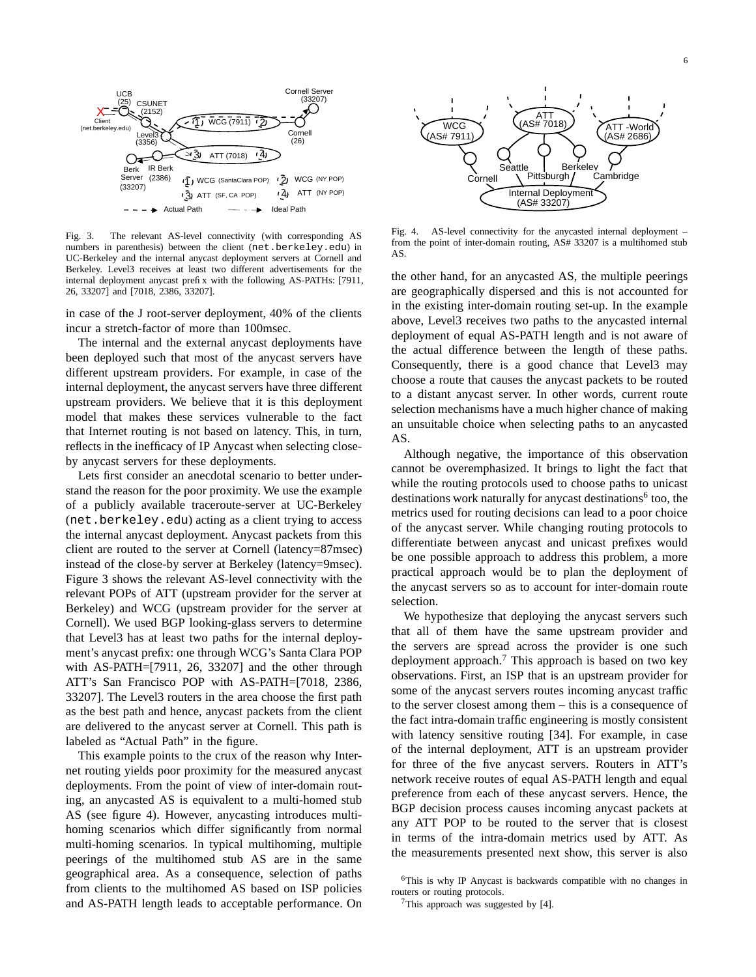

Fig. 3. The relevant AS-level connectivity (with corresponding AS numbers in parenthesis) between the client (net.berkeley.edu) in UC-Berkeley and the internal anycast deployment servers at Cornell and Berkeley. Level3 receives at least two different advertisements for the internal deployment anycast prefix with the following AS-PATHs: [7911, 26, 33207] and [7018, 2386, 33207].

in case of the J root-server deployment, 40% of the clients incur a stretch-factor of more than 100msec.

The internal and the external anycast deployments have been deployed such that most of the anycast servers have different upstream providers. For example, in case of the internal deployment, the anycast servers have three different upstream providers. We believe that it is this deployment model that makes these services vulnerable to the fact that Internet routing is not based on latency. This, in turn, reflects in the inefficacy of IP Anycast when selecting closeby anycast servers for these deployments.

Lets first consider an anecdotal scenario to better understand the reason for the poor proximity. We use the example of a publicly available traceroute-server at UC-Berkeley (net.berkeley.edu) acting as a client trying to access the internal anycast deployment. Anycast packets from this client are routed to the server at Cornell (latency=87msec) instead of the close-by server at Berkeley (latency=9msec). Figure 3 shows the relevant AS-level connectivity with the relevant POPs of ATT (upstream provider for the server at Berkeley) and WCG (upstream provider for the server at Cornell). We used BGP looking-glass servers to determine that Level3 has at least two paths for the internal deployment's anycast prefix: one through WCG's Santa Clara POP with AS-PATH=[7911, 26, 33207] and the other through ATT's San Francisco POP with AS-PATH=[7018, 2386, 33207]. The Level3 routers in the area choose the first path as the best path and hence, anycast packets from the client are delivered to the anycast server at Cornell. This path is labeled as "Actual Path" in the figure.

This example points to the crux of the reason why Internet routing yields poor proximity for the measured anycast deployments. From the point of view of inter-domain routing, an anycasted AS is equivalent to a multi-homed stub AS (see figure 4). However, anycasting introduces multihoming scenarios which differ significantly from normal multi-homing scenarios. In typical multihoming, multiple peerings of the multihomed stub AS are in the same geographical area. As a consequence, selection of paths from clients to the multihomed AS based on ISP policies and AS-PATH length leads to acceptable performance. On



Fig. 4. AS-level connectivity for the anycasted internal deployment – from the point of inter-domain routing, AS# 33207 is a multihomed stub AS.

the other hand, for an anycasted AS, the multiple peerings are geographically dispersed and this is not accounted for in the existing inter-domain routing set-up. In the example above, Level3 receives two paths to the anycasted internal deployment of equal AS-PATH length and is not aware of the actual difference between the length of these paths. Consequently, there is a good chance that Level3 may choose a route that causes the anycast packets to be routed to a distant anycast server. In other words, current route selection mechanisms have a much higher chance of making an unsuitable choice when selecting paths to an anycasted AS.

Although negative, the importance of this observation cannot be overemphasized. It brings to light the fact that while the routing protocols used to choose paths to unicast destinations work naturally for anycast destinations<sup>6</sup> too, the metrics used for routing decisions can lead to a poor choice of the anycast server. While changing routing protocols to differentiate between anycast and unicast prefixes would be one possible approach to address this problem, a more practical approach would be to plan the deployment of the anycast servers so as to account for inter-domain route selection.

We hypothesize that deploying the anycast servers such that all of them have the same upstream provider and the servers are spread across the provider is one such deployment approach.<sup>7</sup> This approach is based on two key observations. First, an ISP that is an upstream provider for some of the anycast servers routes incoming anycast traffic to the server closest among them – this is a consequence of the fact intra-domain traffic engineering is mostly consistent with latency sensitive routing [34]. For example, in case of the internal deployment, ATT is an upstream provider for three of the five anycast servers. Routers in ATT's network receive routes of equal AS-PATH length and equal preference from each of these anycast servers. Hence, the BGP decision process causes incoming anycast packets at any ATT POP to be routed to the server that is closest in terms of the intra-domain metrics used by ATT. As the measurements presented next show, this server is also

<sup>6</sup>This is why IP Anycast is backwards compatible with no changes in routers or routing protocols.

<sup>&</sup>lt;sup>7</sup>This approach was suggested by [4].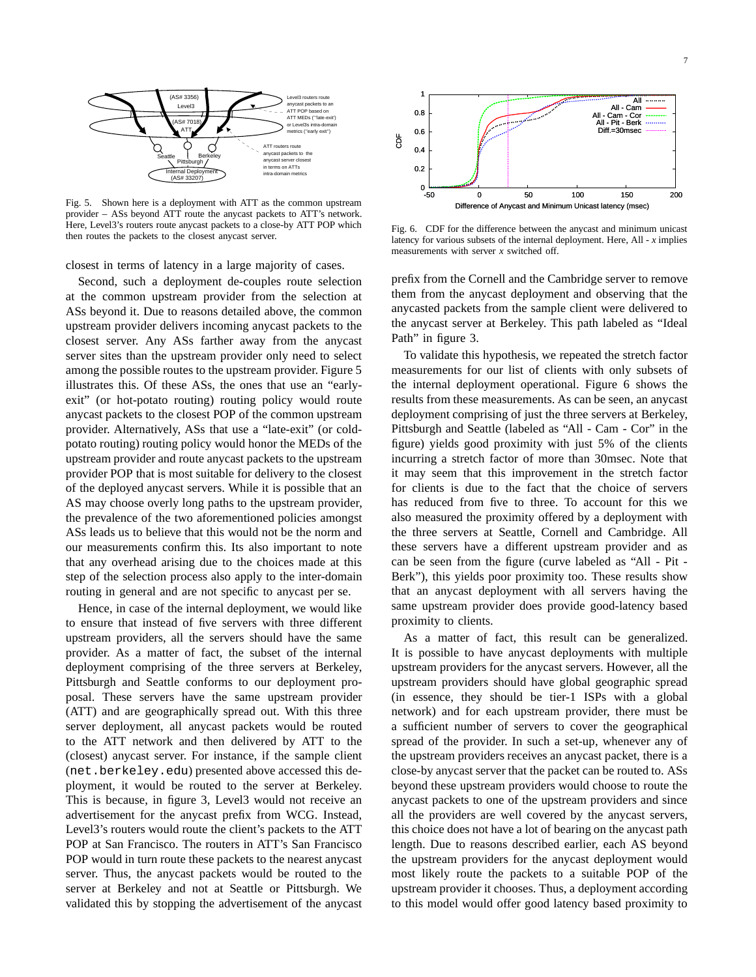

Fig. 5. Shown here is a deployment with ATT as the common upstream provider – ASs beyond ATT route the anycast packets to ATT's network. Here, Level3's routers route anycast packets to a close-by ATT POP which then routes the packets to the closest anycast server.

closest in terms of latency in a large majority of cases.

Second, such a deployment de-couples route selection at the common upstream provider from the selection at ASs beyond it. Due to reasons detailed above, the common upstream provider delivers incoming anycast packets to the closest server. Any ASs farther away from the anycast server sites than the upstream provider only need to select among the possible routes to the upstream provider. Figure 5 illustrates this. Of these ASs, the ones that use an "earlyexit" (or hot-potato routing) routing policy would route anycast packets to the closest POP of the common upstream provider. Alternatively, ASs that use a "late-exit" (or coldpotato routing) routing policy would honor the MEDs of the upstream provider and route anycast packets to the upstream provider POP that is most suitable for delivery to the closest of the deployed anycast servers. While it is possible that an AS may choose overly long paths to the upstream provider, the prevalence of the two aforementioned policies amongst ASs leads us to believe that this would not be the norm and our measurements confirm this. Its also important to note that any overhead arising due to the choices made at this step of the selection process also apply to the inter-domain routing in general and are not specific to anycast per se.

Hence, in case of the internal deployment, we would like to ensure that instead of five servers with three different upstream providers, all the servers should have the same provider. As a matter of fact, the subset of the internal deployment comprising of the three servers at Berkeley, Pittsburgh and Seattle conforms to our deployment proposal. These servers have the same upstream provider (ATT) and are geographically spread out. With this three server deployment, all anycast packets would be routed to the ATT network and then delivered by ATT to the (closest) anycast server. For instance, if the sample client (net.berkeley.edu) presented above accessed this deployment, it would be routed to the server at Berkeley. This is because, in figure 3, Level3 would not receive an advertisement for the anycast prefix from WCG. Instead, Level3's routers would route the client's packets to the ATT POP at San Francisco. The routers in ATT's San Francisco POP would in turn route these packets to the nearest anycast server. Thus, the anycast packets would be routed to the server at Berkeley and not at Seattle or Pittsburgh. We validated this by stopping the advertisement of the anycast



Fig. 6. CDF for the difference between the anycast and minimum unicast latency for various subsets of the internal deployment. Here, All - *x* implies measurements with server *x* switched off.

prefix from the Cornell and the Cambridge server to remove them from the anycast deployment and observing that the anycasted packets from the sample client were delivered to the anycast server at Berkeley. This path labeled as "Ideal Path" in figure 3.

To validate this hypothesis, we repeated the stretch factor measurements for our list of clients with only subsets of the internal deployment operational. Figure 6 shows the results from these measurements. As can be seen, an anycast deployment comprising of just the three servers at Berkeley, Pittsburgh and Seattle (labeled as "All - Cam - Cor" in the figure) yields good proximity with just 5% of the clients incurring a stretch factor of more than 30msec. Note that it may seem that this improvement in the stretch factor for clients is due to the fact that the choice of servers has reduced from five to three. To account for this we also measured the proximity offered by a deployment with the three servers at Seattle, Cornell and Cambridge. All these servers have a different upstream provider and as can be seen from the figure (curve labeled as "All - Pit - Berk"), this yields poor proximity too. These results show that an anycast deployment with all servers having the same upstream provider does provide good-latency based proximity to clients.

As a matter of fact, this result can be generalized. It is possible to have anycast deployments with multiple upstream providers for the anycast servers. However, all the upstream providers should have global geographic spread (in essence, they should be tier-1 ISPs with a global network) and for each upstream provider, there must be a sufficient number of servers to cover the geographical spread of the provider. In such a set-up, whenever any of the upstream providers receives an anycast packet, there is a close-by anycast server that the packet can be routed to. ASs beyond these upstream providers would choose to route the anycast packets to one of the upstream providers and since all the providers are well covered by the anycast servers, this choice does not have a lot of bearing on the anycast path length. Due to reasons described earlier, each AS beyond the upstream providers for the anycast deployment would most likely route the packets to a suitable POP of the upstream provider it chooses. Thus, a deployment according to this model would offer good latency based proximity to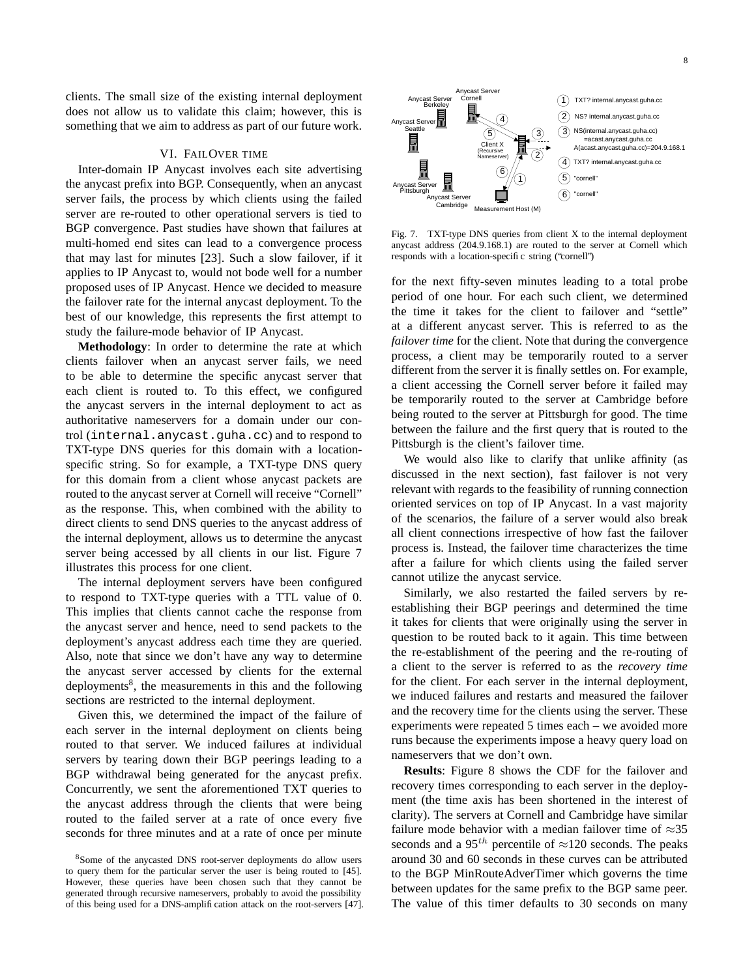clients. The small size of the existing internal deployment does not allow us to validate this claim; however, this is something that we aim to address as part of our future work.

## VI. FAILOVER TIME

Inter-domain IP Anycast involves each site advertising the anycast prefix into BGP. Consequently, when an anycast server fails, the process by which clients using the failed server are re-routed to other operational servers is tied to BGP convergence. Past studies have shown that failures at multi-homed end sites can lead to a convergence process that may last for minutes [23]. Such a slow failover, if it applies to IP Anycast to, would not bode well for a number proposed uses of IP Anycast. Hence we decided to measure the failover rate for the internal anycast deployment. To the best of our knowledge, this represents the first attempt to study the failure-mode behavior of IP Anycast.

**Methodology**: In order to determine the rate at which clients failover when an anycast server fails, we need to be able to determine the specific anycast server that each client is routed to. To this effect, we configured the anycast servers in the internal deployment to act as authoritative nameservers for a domain under our control (internal.anycast.guha.cc) and to respond to TXT-type DNS queries for this domain with a locationspecific string. So for example, a TXT-type DNS query for this domain from a client whose anycast packets are routed to the anycast server at Cornell will receive "Cornell" as the response. This, when combined with the ability to direct clients to send DNS queries to the anycast address of the internal deployment, allows us to determine the anycast server being accessed by all clients in our list. Figure 7 illustrates this process for one client.

The internal deployment servers have been configured to respond to TXT-type queries with a TTL value of 0. This implies that clients cannot cache the response from the anycast server and hence, need to send packets to the deployment's anycast address each time they are queried. Also, note that since we don't have any way to determine the anycast server accessed by clients for the external deployments<sup>8</sup>, the measurements in this and the following sections are restricted to the internal deployment.

Given this, we determined the impact of the failure of each server in the internal deployment on clients being routed to that server. We induced failures at individual servers by tearing down their BGP peerings leading to a BGP withdrawal being generated for the anycast prefix. Concurrently, we sent the aforementioned TXT queries to the anycast address through the clients that were being routed to the failed server at a rate of once every five seconds for three minutes and at a rate of once per minute



Fig. 7. TXT-type DNS queries from client X to the internal deployment anycast address (204.9.168.1) are routed to the server at Cornell which responds with a location-specific string ("cornell")

for the next fifty-seven minutes leading to a total probe period of one hour. For each such client, we determined the time it takes for the client to failover and "settle" at a different anycast server. This is referred to as the *failover time* for the client. Note that during the convergence process, a client may be temporarily routed to a server different from the server it is finally settles on. For example, a client accessing the Cornell server before it failed may be temporarily routed to the server at Cambridge before being routed to the server at Pittsburgh for good. The time between the failure and the first query that is routed to the Pittsburgh is the client's failover time.

We would also like to clarify that unlike affinity (as discussed in the next section), fast failover is not very relevant with regards to the feasibility of running connection oriented services on top of IP Anycast. In a vast majority of the scenarios, the failure of a server would also break all client connections irrespective of how fast the failover process is. Instead, the failover time characterizes the time after a failure for which clients using the failed server cannot utilize the anycast service.

Similarly, we also restarted the failed servers by reestablishing their BGP peerings and determined the time it takes for clients that were originally using the server in question to be routed back to it again. This time between the re-establishment of the peering and the re-routing of a client to the server is referred to as the *recovery time* for the client. For each server in the internal deployment, we induced failures and restarts and measured the failover and the recovery time for the clients using the server. These experiments were repeated 5 times each – we avoided more runs because the experiments impose a heavy query load on nameservers that we don't own.

**Results**: Figure 8 shows the CDF for the failover and recovery times corresponding to each server in the deployment (the time axis has been shortened in the interest of clarity). The servers at Cornell and Cambridge have similar failure mode behavior with a median failover time of  $\approx$ 35 seconds and a 95<sup>th</sup> percentile of  $\approx$ 120 seconds. The peaks around 30 and 60 seconds in these curves can be attributed to the BGP MinRouteAdverTimer which governs the time between updates for the same prefix to the BGP same peer. The value of this timer defaults to 30 seconds on many

<sup>8</sup>Some of the anycasted DNS root-server deployments do allow users to query them for the particular server the user is being routed to [45]. However, these queries have been chosen such that they cannot be generated through recursive nameservers, probably to avoid the possibility of this being used for a DNS-amplification attack on the root-servers [47].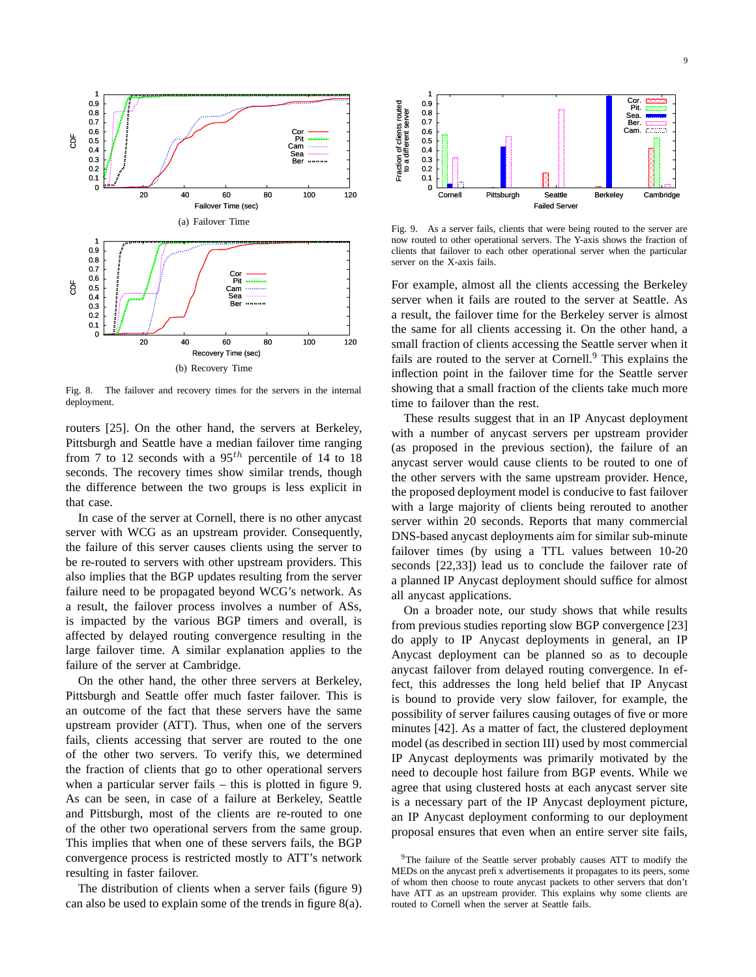

Fig. 8. The failover and recovery times for the servers in the internal deployment.

routers [25]. On the other hand, the servers at Berkeley, Pittsburgh and Seattle have a median failover time ranging from 7 to 12 seconds with a  $95<sup>th</sup>$  percentile of 14 to 18 seconds. The recovery times show similar trends, though the difference between the two groups is less explicit in that case.

In case of the server at Cornell, there is no other anycast server with WCG as an upstream provider. Consequently, the failure of this server causes clients using the server to be re-routed to servers with other upstream providers. This also implies that the BGP updates resulting from the server failure need to be propagated beyond WCG's network. As a result, the failover process involves a number of ASs, is impacted by the various BGP timers and overall, is affected by delayed routing convergence resulting in the large failover time. A similar explanation applies to the failure of the server at Cambridge.

On the other hand, the other three servers at Berkeley, Pittsburgh and Seattle offer much faster failover. This is an outcome of the fact that these servers have the same upstream provider (ATT). Thus, when one of the servers fails, clients accessing that server are routed to the one of the other two servers. To verify this, we determined the fraction of clients that go to other operational servers when a particular server fails – this is plotted in figure 9. As can be seen, in case of a failure at Berkeley, Seattle and Pittsburgh, most of the clients are re-routed to one of the other two operational servers from the same group. This implies that when one of these servers fails, the BGP convergence process is restricted mostly to ATT's network resulting in faster failover.

The distribution of clients when a server fails (figure 9) can also be used to explain some of the trends in figure 8(a).



Fig. 9. As a server fails, clients that were being routed to the server are now routed to other operational servers. The Y-axis shows the fraction of clients that failover to each other operational server when the particular server on the X-axis fails.

For example, almost all the clients accessing the Berkeley server when it fails are routed to the server at Seattle. As a result, the failover time for the Berkeley server is almost the same for all clients accessing it. On the other hand, a small fraction of clients accessing the Seattle server when it fails are routed to the server at Cornell.<sup>9</sup> This explains the inflection point in the failover time for the Seattle server showing that a small fraction of the clients take much more time to failover than the rest.

These results suggest that in an IP Anycast deployment with a number of anycast servers per upstream provider (as proposed in the previous section), the failure of an anycast server would cause clients to be routed to one of the other servers with the same upstream provider. Hence, the proposed deployment model is conducive to fast failover with a large majority of clients being rerouted to another server within 20 seconds. Reports that many commercial DNS-based anycast deployments aim for similar sub-minute failover times (by using a TTL values between 10-20 seconds [22,33]) lead us to conclude the failover rate of a planned IP Anycast deployment should suffice for almost all anycast applications.

On a broader note, our study shows that while results from previous studies reporting slow BGP convergence [23] do apply to IP Anycast deployments in general, an IP Anycast deployment can be planned so as to decouple anycast failover from delayed routing convergence. In effect, this addresses the long held belief that IP Anycast is bound to provide very slow failover, for example, the possibility of server failures causing outages of five or more minutes [42]. As a matter of fact, the clustered deployment model (as described in section III) used by most commercial IP Anycast deployments was primarily motivated by the need to decouple host failure from BGP events. While we agree that using clustered hosts at each anycast server site is a necessary part of the IP Anycast deployment picture, an IP Anycast deployment conforming to our deployment proposal ensures that even when an entire server site fails,

<sup>&</sup>lt;sup>9</sup>The failure of the Seattle server probably causes ATT to modify the MEDs on the anycast prefix advertisements it propagates to its peers, some of whom then choose to route anycast packets to other servers that don't have ATT as an upstream provider. This explains why some clients are routed to Cornell when the server at Seattle fails.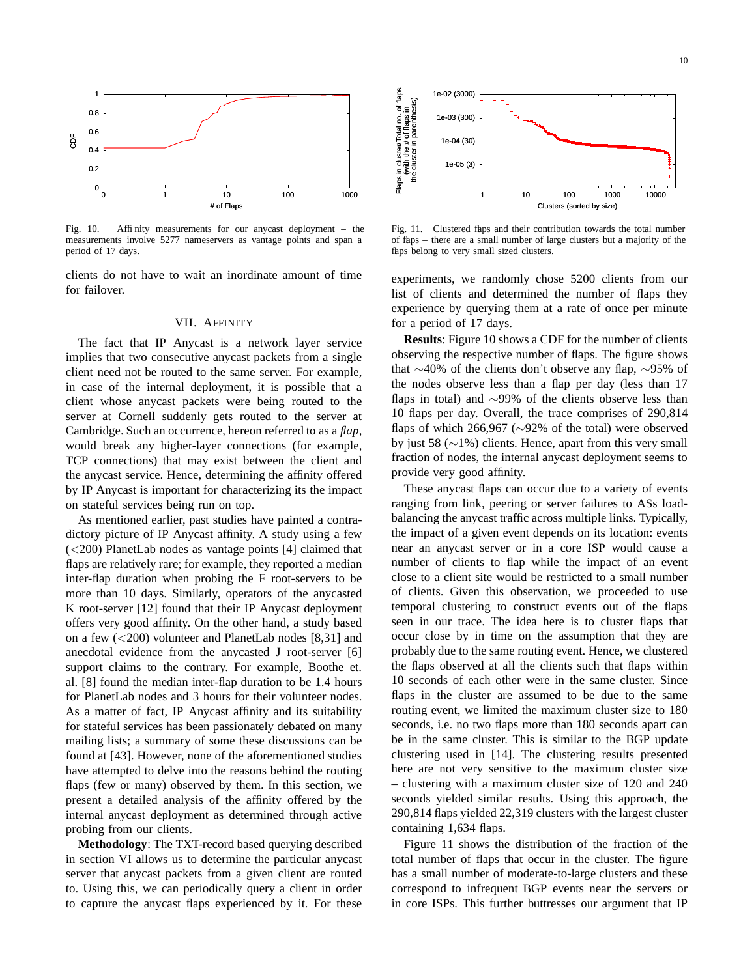

Fig. 10. Affinity measurements for our anycast deployment – the measurements involve 5277 nameservers as vantage points and span a period of 17 days.

clients do not have to wait an inordinate amount of time for failover.

## VII. AFFINITY

The fact that IP Anycast is a network layer service implies that two consecutive anycast packets from a single client need not be routed to the same server. For example, in case of the internal deployment, it is possible that a client whose anycast packets were being routed to the server at Cornell suddenly gets routed to the server at Cambridge. Such an occurrence, hereon referred to as a *flap*, would break any higher-layer connections (for example, TCP connections) that may exist between the client and the anycast service. Hence, determining the affinity offered by IP Anycast is important for characterizing its the impact on stateful services being run on top.

As mentioned earlier, past studies have painted a contradictory picture of IP Anycast affinity. A study using a few (<200) PlanetLab nodes as vantage points [4] claimed that flaps are relatively rare; for example, they reported a median inter-flap duration when probing the F root-servers to be more than 10 days. Similarly, operators of the anycasted K root-server [12] found that their IP Anycast deployment offers very good affinity. On the other hand, a study based on a few (<200) volunteer and PlanetLab nodes [8,31] and anecdotal evidence from the anycasted J root-server [6] support claims to the contrary. For example, Boothe et. al. [8] found the median inter-flap duration to be 1.4 hours for PlanetLab nodes and 3 hours for their volunteer nodes. As a matter of fact, IP Anycast affinity and its suitability for stateful services has been passionately debated on many mailing lists; a summary of some these discussions can be found at [43]. However, none of the aforementioned studies have attempted to delve into the reasons behind the routing flaps (few or many) observed by them. In this section, we present a detailed analysis of the affinity offered by the internal anycast deployment as determined through active probing from our clients.

**Methodology**: The TXT-record based querying described in section VI allows us to determine the particular anycast server that anycast packets from a given client are routed to. Using this, we can periodically query a client in order to capture the anycast flaps experienced by it. For these



Fig. 11. Clustered flaps and their contribution towards the total number of flaps – there are a small number of large clusters but a majority of the flaps belong to very small sized clusters.

experiments, we randomly chose 5200 clients from our list of clients and determined the number of flaps they experience by querying them at a rate of once per minute for a period of 17 days.

**Results**: Figure 10 shows a CDF for the number of clients observing the respective number of flaps. The figure shows that ∼40% of the clients don't observe any flap, ∼95% of the nodes observe less than a flap per day (less than 17 flaps in total) and ∼99% of the clients observe less than 10 flaps per day. Overall, the trace comprises of 290,814 flaps of which 266,967 (∼92% of the total) were observed by just 58 (∼1%) clients. Hence, apart from this very small fraction of nodes, the internal anycast deployment seems to provide very good affinity.

These anycast flaps can occur due to a variety of events ranging from link, peering or server failures to ASs loadbalancing the anycast traffic across multiple links. Typically, the impact of a given event depends on its location: events near an anycast server or in a core ISP would cause a number of clients to flap while the impact of an event close to a client site would be restricted to a small number of clients. Given this observation, we proceeded to use temporal clustering to construct events out of the flaps seen in our trace. The idea here is to cluster flaps that occur close by in time on the assumption that they are probably due to the same routing event. Hence, we clustered the flaps observed at all the clients such that flaps within 10 seconds of each other were in the same cluster. Since flaps in the cluster are assumed to be due to the same routing event, we limited the maximum cluster size to 180 seconds, i.e. no two flaps more than 180 seconds apart can be in the same cluster. This is similar to the BGP update clustering used in [14]. The clustering results presented here are not very sensitive to the maximum cluster size – clustering with a maximum cluster size of 120 and 240 seconds yielded similar results. Using this approach, the 290,814 flaps yielded 22,319 clusters with the largest cluster containing 1,634 flaps.

Figure 11 shows the distribution of the fraction of the total number of flaps that occur in the cluster. The figure has a small number of moderate-to-large clusters and these correspond to infrequent BGP events near the servers or in core ISPs. This further buttresses our argument that IP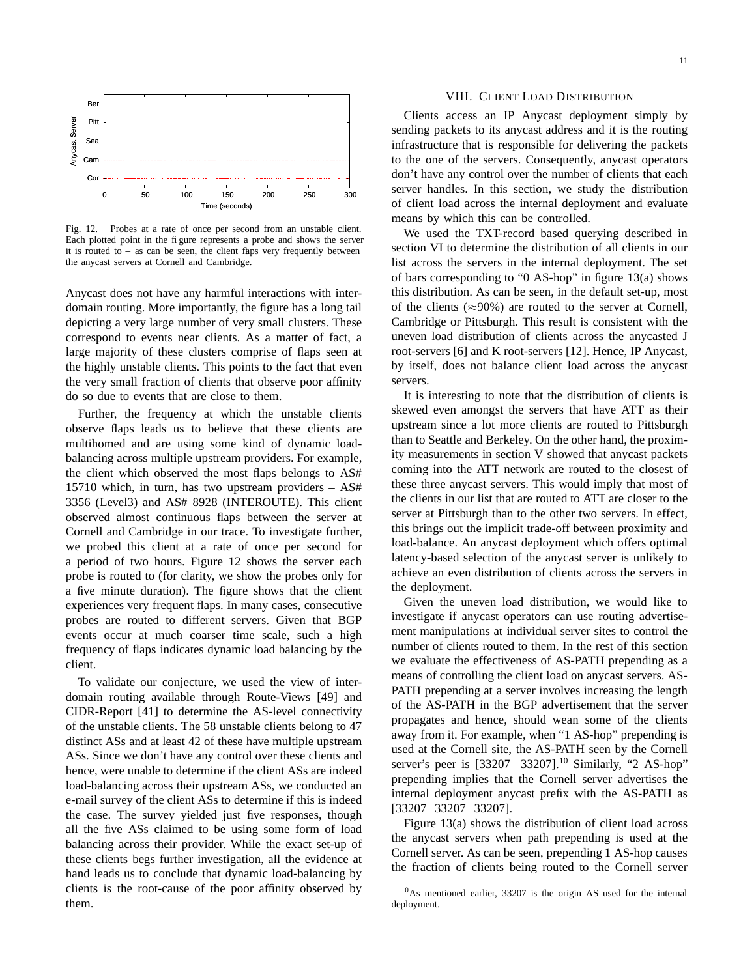

Fig. 12. Probes at a rate of once per second from an unstable client. Each plotted point in the figure represents a probe and shows the server it is routed to  $-$  as can be seen, the client flaps very frequently between the anycast servers at Cornell and Cambridge.

Anycast does not have any harmful interactions with interdomain routing. More importantly, the figure has a long tail depicting a very large number of very small clusters. These correspond to events near clients. As a matter of fact, a large majority of these clusters comprise of flaps seen at the highly unstable clients. This points to the fact that even the very small fraction of clients that observe poor affinity do so due to events that are close to them.

Further, the frequency at which the unstable clients observe flaps leads us to believe that these clients are multihomed and are using some kind of dynamic loadbalancing across multiple upstream providers. For example, the client which observed the most flaps belongs to AS# 15710 which, in turn, has two upstream providers  $-$  AS# 3356 (Level3) and AS# 8928 (INTEROUTE). This client observed almost continuous flaps between the server at Cornell and Cambridge in our trace. To investigate further, we probed this client at a rate of once per second for a period of two hours. Figure 12 shows the server each probe is routed to (for clarity, we show the probes only for a five minute duration). The figure shows that the client experiences very frequent flaps. In many cases, consecutive probes are routed to different servers. Given that BGP events occur at much coarser time scale, such a high frequency of flaps indicates dynamic load balancing by the client.

To validate our conjecture, we used the view of interdomain routing available through Route-Views [49] and CIDR-Report [41] to determine the AS-level connectivity of the unstable clients. The 58 unstable clients belong to 47 distinct ASs and at least 42 of these have multiple upstream ASs. Since we don't have any control over these clients and hence, were unable to determine if the client ASs are indeed load-balancing across their upstream ASs, we conducted an e-mail survey of the client ASs to determine if this is indeed the case. The survey yielded just five responses, though all the five ASs claimed to be using some form of load balancing across their provider. While the exact set-up of these clients begs further investigation, all the evidence at hand leads us to conclude that dynamic load-balancing by clients is the root-cause of the poor affinity observed by them.

Clients access an IP Anycast deployment simply by sending packets to its anycast address and it is the routing infrastructure that is responsible for delivering the packets to the one of the servers. Consequently, anycast operators don't have any control over the number of clients that each server handles. In this section, we study the distribution of client load across the internal deployment and evaluate means by which this can be controlled.

We used the TXT-record based querying described in section VI to determine the distribution of all clients in our list across the servers in the internal deployment. The set of bars corresponding to "0 AS-hop" in figure 13(a) shows this distribution. As can be seen, in the default set-up, most of the clients ( $\approx$ 90%) are routed to the server at Cornell, Cambridge or Pittsburgh. This result is consistent with the uneven load distribution of clients across the anycasted J root-servers [6] and K root-servers [12]. Hence, IP Anycast, by itself, does not balance client load across the anycast servers.

It is interesting to note that the distribution of clients is skewed even amongst the servers that have ATT as their upstream since a lot more clients are routed to Pittsburgh than to Seattle and Berkeley. On the other hand, the proximity measurements in section V showed that anycast packets coming into the ATT network are routed to the closest of these three anycast servers. This would imply that most of the clients in our list that are routed to ATT are closer to the server at Pittsburgh than to the other two servers. In effect, this brings out the implicit trade-off between proximity and load-balance. An anycast deployment which offers optimal latency-based selection of the anycast server is unlikely to achieve an even distribution of clients across the servers in the deployment.

Given the uneven load distribution, we would like to investigate if anycast operators can use routing advertisement manipulations at individual server sites to control the number of clients routed to them. In the rest of this section we evaluate the effectiveness of AS-PATH prepending as a means of controlling the client load on anycast servers. AS-PATH prepending at a server involves increasing the length of the AS-PATH in the BGP advertisement that the server propagates and hence, should wean some of the clients away from it. For example, when "1 AS-hop" prepending is used at the Cornell site, the AS-PATH seen by the Cornell server's peer is [33207 33207].<sup>10</sup> Similarly, "2 AS-hop" prepending implies that the Cornell server advertises the internal deployment anycast prefix with the AS-PATH as [33207 33207 33207].

Figure 13(a) shows the distribution of client load across the anycast servers when path prepending is used at the Cornell server. As can be seen, prepending 1 AS-hop causes the fraction of clients being routed to the Cornell server

 $10$ As mentioned earlier, 33207 is the origin AS used for the internal deployment.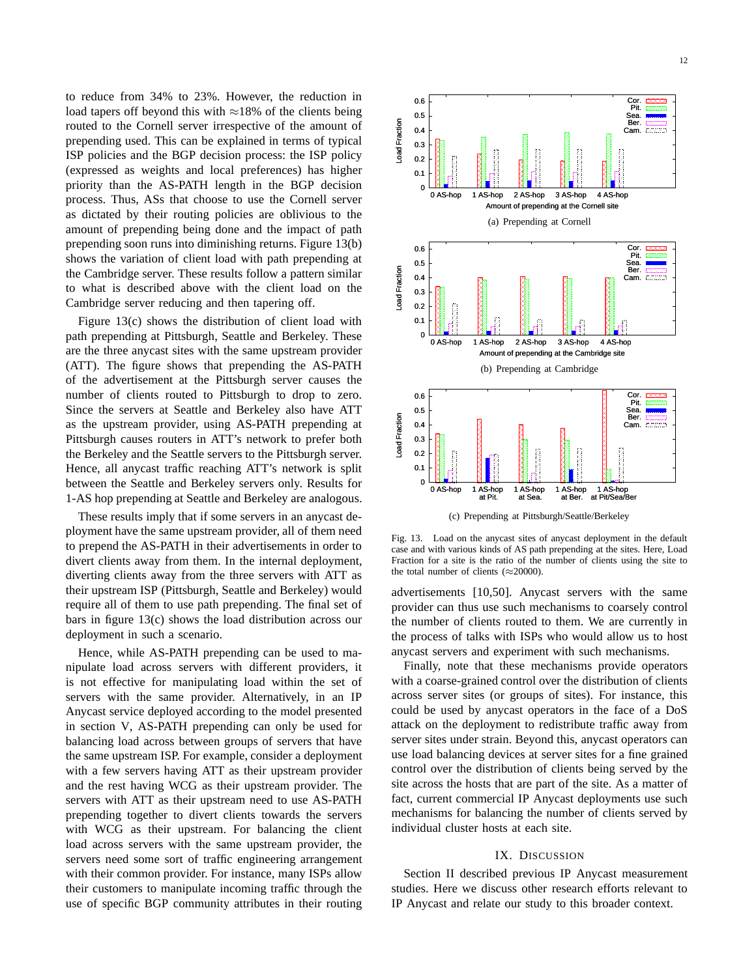to reduce from 34% to 23%. However, the reduction in load tapers off beyond this with  $\approx$ 18% of the clients being routed to the Cornell server irrespective of the amount of prepending used. This can be explained in terms of typical ISP policies and the BGP decision process: the ISP policy (expressed as weights and local preferences) has higher priority than the AS-PATH length in the BGP decision process. Thus, ASs that choose to use the Cornell server as dictated by their routing policies are oblivious to the amount of prepending being done and the impact of path prepending soon runs into diminishing returns. Figure 13(b) shows the variation of client load with path prepending at the Cambridge server. These results follow a pattern similar to what is described above with the client load on the Cambridge server reducing and then tapering off.

Figure 13(c) shows the distribution of client load with path prepending at Pittsburgh, Seattle and Berkeley. These are the three anycast sites with the same upstream provider (ATT). The figure shows that prepending the AS-PATH of the advertisement at the Pittsburgh server causes the number of clients routed to Pittsburgh to drop to zero. Since the servers at Seattle and Berkeley also have ATT as the upstream provider, using AS-PATH prepending at Pittsburgh causes routers in ATT's network to prefer both the Berkeley and the Seattle servers to the Pittsburgh server. Hence, all anycast traffic reaching ATT's network is split between the Seattle and Berkeley servers only. Results for 1-AS hop prepending at Seattle and Berkeley are analogous.

These results imply that if some servers in an anycast deployment have the same upstream provider, all of them need to prepend the AS-PATH in their advertisements in order to divert clients away from them. In the internal deployment, diverting clients away from the three servers with ATT as their upstream ISP (Pittsburgh, Seattle and Berkeley) would require all of them to use path prepending. The final set of bars in figure 13(c) shows the load distribution across our deployment in such a scenario.

Hence, while AS-PATH prepending can be used to manipulate load across servers with different providers, it is not effective for manipulating load within the set of servers with the same provider. Alternatively, in an IP Anycast service deployed according to the model presented in section V, AS-PATH prepending can only be used for balancing load across between groups of servers that have the same upstream ISP. For example, consider a deployment with a few servers having ATT as their upstream provider and the rest having WCG as their upstream provider. The servers with ATT as their upstream need to use AS-PATH prepending together to divert clients towards the servers with WCG as their upstream. For balancing the client load across servers with the same upstream provider, the servers need some sort of traffic engineering arrangement with their common provider. For instance, many ISPs allow their customers to manipulate incoming traffic through the use of specific BGP community attributes in their routing



Fig. 13. Load on the anycast sites of anycast deployment in the default case and with various kinds of AS path prepending at the sites. Here, Load Fraction for a site is the ratio of the number of clients using the site to the total number of clients ( $\approx$ 20000).

advertisements [10,50]. Anycast servers with the same provider can thus use such mechanisms to coarsely control the number of clients routed to them. We are currently in the process of talks with ISPs who would allow us to host anycast servers and experiment with such mechanisms.

Finally, note that these mechanisms provide operators with a coarse-grained control over the distribution of clients across server sites (or groups of sites). For instance, this could be used by anycast operators in the face of a DoS attack on the deployment to redistribute traffic away from server sites under strain. Beyond this, anycast operators can use load balancing devices at server sites for a fine grained control over the distribution of clients being served by the site across the hosts that are part of the site. As a matter of fact, current commercial IP Anycast deployments use such mechanisms for balancing the number of clients served by individual cluster hosts at each site.

# IX. DISCUSSION

Section II described previous IP Anycast measurement studies. Here we discuss other research efforts relevant to IP Anycast and relate our study to this broader context.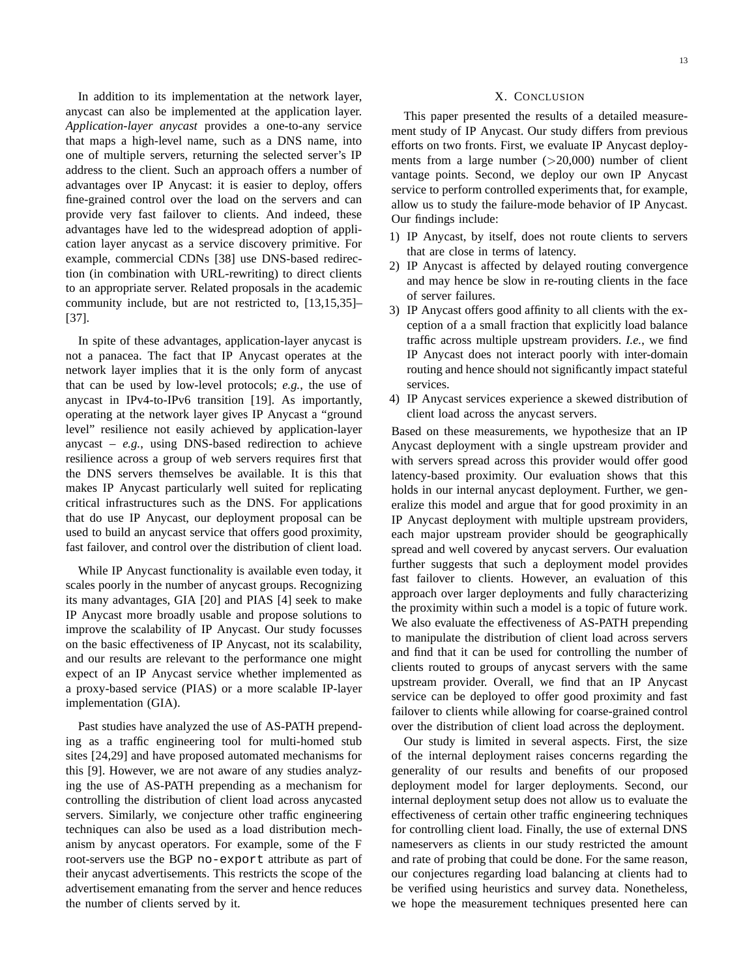In addition to its implementation at the network layer, anycast can also be implemented at the application layer. *Application-layer anycast* provides a one-to-any service that maps a high-level name, such as a DNS name, into one of multiple servers, returning the selected server's IP address to the client. Such an approach offers a number of advantages over IP Anycast: it is easier to deploy, offers fine-grained control over the load on the servers and can provide very fast failover to clients. And indeed, these advantages have led to the widespread adoption of application layer anycast as a service discovery primitive. For example, commercial CDNs [38] use DNS-based redirection (in combination with URL-rewriting) to direct clients to an appropriate server. Related proposals in the academic community include, but are not restricted to, [13,15,35]– [37].

In spite of these advantages, application-layer anycast is not a panacea. The fact that IP Anycast operates at the network layer implies that it is the only form of anycast that can be used by low-level protocols; *e.g.*, the use of anycast in IPv4-to-IPv6 transition [19]. As importantly, operating at the network layer gives IP Anycast a "ground level" resilience not easily achieved by application-layer anycast – *e.g.*, using DNS-based redirection to achieve resilience across a group of web servers requires first that the DNS servers themselves be available. It is this that makes IP Anycast particularly well suited for replicating critical infrastructures such as the DNS. For applications that do use IP Anycast, our deployment proposal can be used to build an anycast service that offers good proximity, fast failover, and control over the distribution of client load.

While IP Anycast functionality is available even today, it scales poorly in the number of anycast groups. Recognizing its many advantages, GIA [20] and PIAS [4] seek to make IP Anycast more broadly usable and propose solutions to improve the scalability of IP Anycast. Our study focusses on the basic effectiveness of IP Anycast, not its scalability, and our results are relevant to the performance one might expect of an IP Anycast service whether implemented as a proxy-based service (PIAS) or a more scalable IP-layer implementation (GIA).

Past studies have analyzed the use of AS-PATH prepending as a traffic engineering tool for multi-homed stub sites [24,29] and have proposed automated mechanisms for this [9]. However, we are not aware of any studies analyzing the use of AS-PATH prepending as a mechanism for controlling the distribution of client load across anycasted servers. Similarly, we conjecture other traffic engineering techniques can also be used as a load distribution mechanism by anycast operators. For example, some of the F root-servers use the BGP no-export attribute as part of their anycast advertisements. This restricts the scope of the advertisement emanating from the server and hence reduces the number of clients served by it.

## X. CONCLUSION

This paper presented the results of a detailed measurement study of IP Anycast. Our study differs from previous efforts on two fronts. First, we evaluate IP Anycast deployments from a large number  $(>20,000)$  number of client vantage points. Second, we deploy our own IP Anycast service to perform controlled experiments that, for example, allow us to study the failure-mode behavior of IP Anycast. Our findings include:

- 1) IP Anycast, by itself, does not route clients to servers that are close in terms of latency.
- 2) IP Anycast is affected by delayed routing convergence and may hence be slow in re-routing clients in the face of server failures.
- 3) IP Anycast offers good affinity to all clients with the exception of a a small fraction that explicitly load balance traffic across multiple upstream providers. *I.e.*, we find IP Anycast does not interact poorly with inter-domain routing and hence should not significantly impact stateful services.
- 4) IP Anycast services experience a skewed distribution of client load across the anycast servers.

Based on these measurements, we hypothesize that an IP Anycast deployment with a single upstream provider and with servers spread across this provider would offer good latency-based proximity. Our evaluation shows that this holds in our internal anycast deployment. Further, we generalize this model and argue that for good proximity in an IP Anycast deployment with multiple upstream providers, each major upstream provider should be geographically spread and well covered by anycast servers. Our evaluation further suggests that such a deployment model provides fast failover to clients. However, an evaluation of this approach over larger deployments and fully characterizing the proximity within such a model is a topic of future work. We also evaluate the effectiveness of AS-PATH prepending to manipulate the distribution of client load across servers and find that it can be used for controlling the number of clients routed to groups of anycast servers with the same upstream provider. Overall, we find that an IP Anycast service can be deployed to offer good proximity and fast failover to clients while allowing for coarse-grained control over the distribution of client load across the deployment.

Our study is limited in several aspects. First, the size of the internal deployment raises concerns regarding the generality of our results and benefits of our proposed deployment model for larger deployments. Second, our internal deployment setup does not allow us to evaluate the effectiveness of certain other traffic engineering techniques for controlling client load. Finally, the use of external DNS nameservers as clients in our study restricted the amount and rate of probing that could be done. For the same reason, our conjectures regarding load balancing at clients had to be verified using heuristics and survey data. Nonetheless, we hope the measurement techniques presented here can